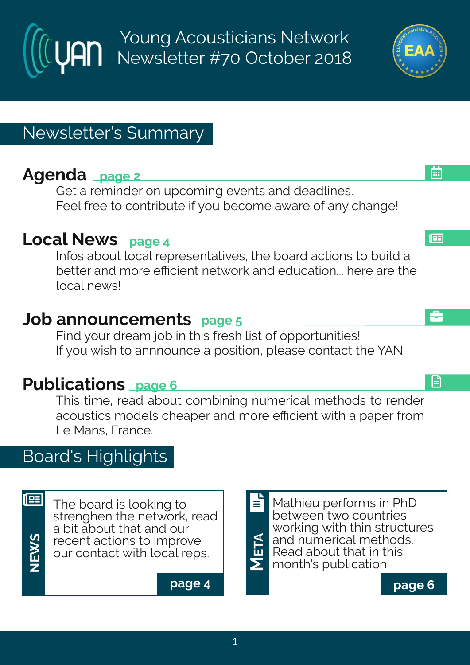Young Acousticians Network Newsletter #70 October 2018

# Newsletter's Summary

# **Agenda page 2**

Get a reminder on upcoming events and deadlines. Feel free to contribute if you become aware of any change!

## **Local News page 4**

Infos about local representatives, the board actions to build a better and more efficient network and education... here are the local news!

## **Job announcements page 5**

Find your dream job in this fresh list of opportunities! If you wish to annnounce a position, please contact the YAN.

## **Publications page 6**

This time, read about combining numerical methods to render acoustics models cheaper and more efficient with a paper from Le Mans, France.

# Board's Highlights

|                            | λ |
|----------------------------|---|
| $\boldsymbol{\mathcal{G}}$ |   |
| ×                          |   |
|                            |   |

 $\mathbf{E}$  The board is looking to strenghen the network, read a bit about that and our recent actions to improve our contact with local reps.

**page 4**

<u>স</u> **E** month's publication. **TA** Mathieu performs in PhD between two countries working with thin structures and numerical methods. Read about that in this E



æ

画

순

日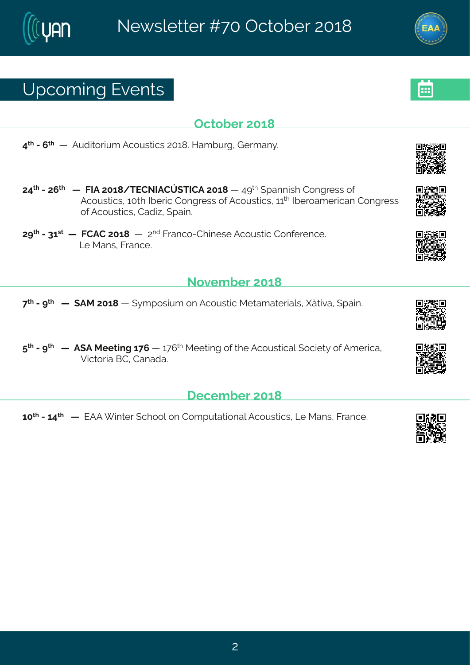# Yt gsq mk#zi r xw

Tgxsfiv#56=

9<sup>x</sup> #2#; <sup>x</sup> #46 #Fyhn swyng #Fgsywwngw#756=3Meg fy wk #Livg er } 3

- 79<sup>x</sup> #247; <sup>x</sup> ##6 #KNF#756=4 XJHSNFHÄ (XNHF#756=#6 #9><sup>x</sup> # terrnwt#Hsrkviww#sj# Fgsywngw#65xl#Niiwng#Hsrkviww#sj#Fgsywngw#66<sup>4</sup>#Niivseq iwnger#Hsrkviww# si#Fgsywmgw#Hehme# tem3
- 7><sup>x</sup> #2486<sup>w</sup>##6 #KHFH#756=##6 ##7<sup>rh</sup>#Kvergs2HI miwi#Fgsywxmg#Hsrjivirgi3 Q #R er w#Kver gi 3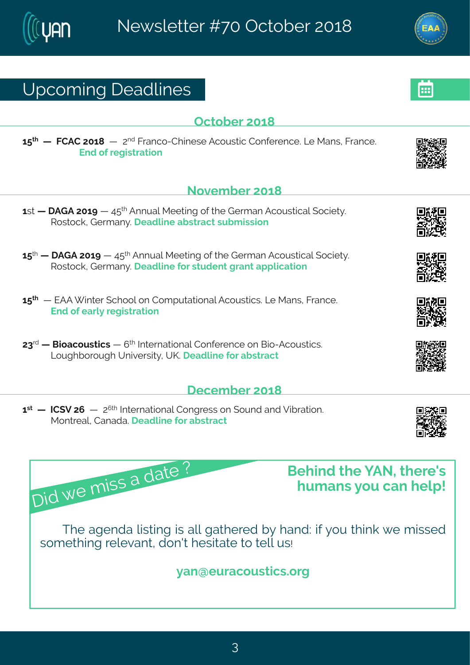Yt gsq mk# i ehpni w

#### Sszigfiw#56=

- 6 w 46 # FLF#756>#6 #9: \* #Frryep#Riixmk #sj#li#Livqer#Fgsywwmgep#sgmix}3 Wswsgottivq er} Stiehpni# f wwegx#wyfq mwnsr
- 6:  $*$  # \$ # FLF#756>#6:  $*$  # Frryep#Riixmk #sj#li#Livq er#Fqsywwmqep#sqmix} 3 WswsgoffLivger} 3 i ehpni#sv#wyhirx#verx#ettpgexmar
- 6: x # 4# 6 # JFF # m xi x # gl ssp#sr # Hsq t y xexmsr ep#Fgsy wxngw 36Q #R er w # K ver gi 3 Jrh#sj#evp}#wikmwwexmar
- 78<sup>th</sup> #G nae qs yw mogw #6 # \* # N xi vrex nsrep# Hs r ji vi r gi #s r#G ns2 F qs yw mogw 8 Osykl f svsykl #Yrmzi wwnot #YP 3# i ehpmi#sv#ef www.egx

## ligiq fiv#56=

6<sup>w</sup>#46 #NH(Z#7;#46 ##7<sup>;x|</sup>#Nxivrexmsrep#Hsrkviww#sr#(syrh#erh#Zmfvexmsr3# R sr xi ep#Her ehe 3# i ehpni #sv#ef wweqx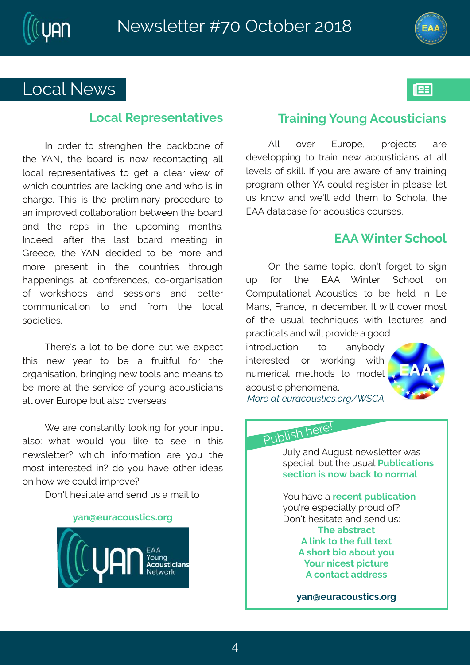## CsgeptSi{w

#### Cs gep#N't vi wir xextrai w

Not #syhiv#xs#ww.irklir#xli#feqofsri#sj# xli# FS #xli# f sevh# mo# r s{ # vigs r xeg x m k # eng# ps gep# vit vi wir xexpoliw#xs#kix#e#gpiew#zmi{#si# { Ingl#gsyrxvmiw#evi#pegonnk#sri#erh#{ Is#nw#m# glevki $3/2$ l mottmottxlitt vipmon mev} #t vsgihy vi#xs# er#mottwszih#dspoefsvexmsr#fix{iir#xli#sevh# erh#xli#vitw#mn#xli#ytgsqmnk#qsrxlw&# No hiih 1# ejxiv# xli# pew # f sevh # q i i xnn k # m # L vi i gi #x i #] FS#hi gmhi h#xs#f i #g svi #er h#  $q$  svi#t viw r x# mn#xli#qsvrxvmiw#xl vsvkl# lettirmkw#ex#gsrjivirgiw#gs2svkermwexmsr# si# { syow | st w # er h # wi www.nsr w # er h # f i xxi w # gsq q yr mgexmsr# xs# er h# jvsq # xli# psqep# ws gm x mw 8

Xlivi, whe #psx#xs#fi#hsri#fyx#fi#i|tigx#  $\overline{x}$  moth rif # } i ev# $\overline{x}$  # f i # e# jvymojy p# js v# xl i # swkermexmsr#f wnkmk#i{#sspw#erh#qierw#s# f i#q svi#ex#xl i#wivzmgi#sj#|syrk#egsywmogmerw# epotsziv#Jyvsti#yx#epws#sziwwiew3

[ i #evi#gsrwwerxp}#pssomrk#jsv#}syv#mrtyx# epns?#{ l ex#{ syph#}sy#pmoi#xs#wii#mn#xl mw# ri{ wpixxivD#{ Imgl#mnjsvq exnsr#evi#}sy#xli# q swo#mxi viwaih#mD#hs#}sy#lezi#sxliv#mhiew# sr#s{#i#qsyph#motwsziD

I sr, x# i womexi#erh#wirh#yw#e#q empoks

#### } er Ei y vegs y wargw& vk

### Xvemmk#syrk#gsywngmerw

szi v# Jyvsti# tvsnigxw# Fno#  $ex$ i# hi zi pst t m k # x s # x vern # ri { # egs y w x rogner w # ex # ep #  $\pi$  zi pwtsi# womposin\th} sy#evi#e{ evi#si#er }# wem m k # t vsk veq#sxliv#|F#gsyph#vik mwiv#mm#tpiewi#pix# yw#ors{#erh#(i.po#ehh#xliq#xs#(qlspe1#xli# JFF#hexefewi#sv#eqsywwmgw#qsywiw3

## JFF# mxi v# ql ssp

Tr#xli#weqi#xstmg1#hsr,x#jsvkix#xs#wmkr# yt# jsv# xli# JFF# [ mnxiv# (glssp# sr# Hsqtyxexmsrep#Fgsywxmgw#xs#fi#liph#mn#Q# Rer whilk vergit thin thin in in thin worked in the sworth si#xli#ywyep#xiglrmoyiw#{mxl#pigxyviw#erh# t vegxngepw#erh# mo#vszmhi#e#kssh#  $\max$ hygxnsr#  $x$ s# er } f sh } #  $\text{max}$  viw  $\text{h}\#$  sv# { svom k# {  $\text{nd}\#$ ryqiwngep#qixlshw#xs#qship# easyword#lirsaire3 •  $1^{10}$  D  $\ddot{\theta}$   $\ddot{\theta}$   $\ddot{\theta}$   $\ddot{\theta}$   $\ddot{\theta}$   $\ddot{\theta}$   $\ddot{\theta}$   $\ddot{\theta}$   $\ddot{\theta}$   $\ddot{\theta}$   $\ddot{\theta}$   $\ddot{\theta}$   $\ddot{\theta}$   $\ddot{\theta}$   $\ddot{\theta}$   $\ddot{\theta}$   $\ddot{\theta}$   $\ddot{\theta}$   $\ddot{\theta}$   $\ddot{\theta}$   $\ddot{\theta}$   $\ddot{\theta}$   $\ddot{\theta}$   $\$ 

# Uyf pro # i vi \$

 $Q/\beta$ #erh#Fykyw#ti{wpixxiv#ew# wti greph#yx#xli#ywyep#Uyfprojexnarw# wig xnsr  $\#$ m # s {  $\#$  eqo  $\#$ s  $\#$  s vq ep $\#$ \$

I sv#ezi#e#i girx#vfpraexmsr# sy, vi# wtigrapp}#t vsyh #sjD Isr, x#liwnxexi#erh#wirh#yw? XI i #ef wwegx F#pno#s#di#ypp#xilx F#N sw# na#ef syx#sy ] sy v# rgi wx# rgxy vi F#gsrxegx#ehhviww

} er Ei yvegsywargw3s vk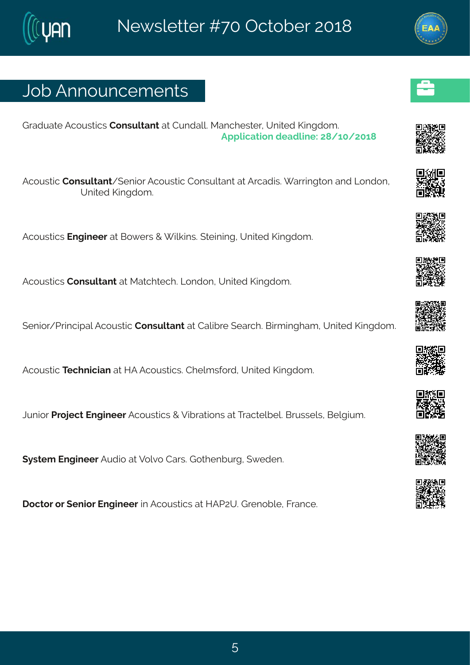# Osf#Frrsyrgiqirxw

Lvehyexi#Fgsywmgw#Hsrwypxerx#ex#Hyrhep@sRergliw-iv#Yrmah#Pmnkhsq3 Ft t proexpar #hi ehpmi  $H = 4654756$ 

Fgsyworg#Hsrwypxerx4(irmsv#Fgsyworg#Hsrwypxerx#ex#Fvgehmo#) ewnnkxsr#erh#Csrhsr# Yrmih#Pmkhsq 3

Fgsyworgw#Jrkmiiw#ex#Gs{iw#+#mpomw?#ximmk1#Yrmaih#Pmkhsq3

Fgsywngw#Hsrwypxerx#ex#Rexglxigl3#Qsrhsr1#Yrmxih#Pmnkhsq3

(irmsv4Uvmgmtep#Fgsywngq#Hsrwypxerx#ex#Hepmfvi#tievgl3KGmxqmnkleq1#Yrmaih#Pmnkhsq3

Fgsyword #Xiglr rogner#ex4MF#Fgsywordgw&Hlipq wis wht#Yrmaiht#Pmnkhsq 3

Ovrnstuktus nigx#lrkmiiw#Fgsywomgw##Zmluexnstrw#ex#Xwegxipfip&Gwwwipw#Gipkmyq3

(} wxiq #Jrkmiiv#Fyhnsn#ex#Zspzs#HewoaŁsxlirfyvkt#{ihir3

Isgxsv#sv#(irmsv#Jrkmiiv#m#Fgsywwmgw#ex#MFU7Y3#Lvirsfpi1#Kvergi3